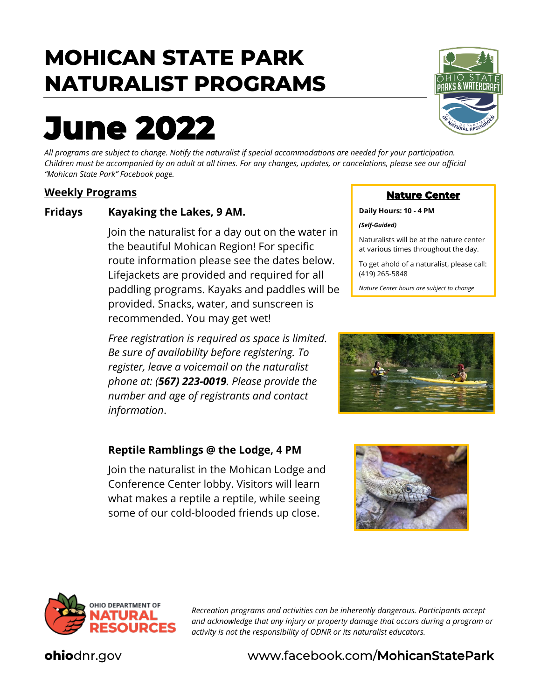## **MOHICAN STATE PARK NATURALIST PROGRAMS**

# **June 2022**

*All programs are subject to change. Notify the naturalist if special accommodations are needed for your participation. Children must be accompanied by an adult at all times. For any changes, updates, or cancelations, please see our official "Mohican State Park" Facebook page.*

#### **Weekly Programs**

#### **Fridays Kayaking the Lakes, 9 AM.**

Join the naturalist for a day out on the water in the beautiful Mohican Region! For specific route information please see the dates below. Lifejackets are provided and required for all paddling programs. Kayaks and paddles will be provided. Snacks, water, and sunscreen is recommended. You may get wet!

*Free registration is required as space is limited. Be sure of availability before registering. To register, leave a voicemail on the naturalist phone at: (567) 223-0019. Please provide the number and age of registrants and contact information*.

#### **Reptile Ramblings @ the Lodge, 4 PM**

Join the naturalist in the Mohican Lodge and Conference Center lobby. Visitors will learn what makes a reptile a reptile, while seeing some of our cold-blooded friends up close.



#### **Nature Center**

**Daily Hours: 10 - 4 PM**

*(Self-Guided)* 

Naturalists will be at the nature center at various times throughout the day.

To get ahold of a naturalist, please call: (419) 265-5848

*Nature Center hours are subject to change*







*Recreation programs and activities can be inherently dangerous. Participants accept and acknowledge that any injury or property damage that occurs during a program or activity is not the responsibility of ODNR or its naturalist educators.*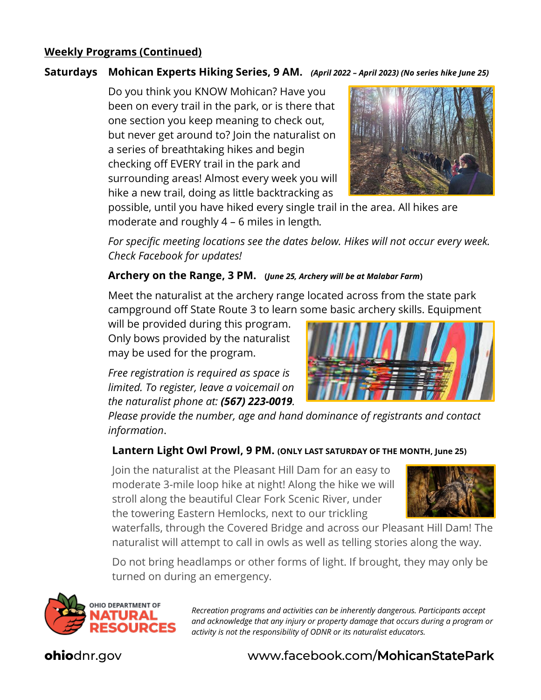#### **Weekly Programs (Continued)**

#### **Saturdays Mohican Experts Hiking Series, 9 AM.** *(April 2022 – April 2023) (No series hike June 25)*

Do you think you KNOW Mohican? Have you been on every trail in the park, or is there that one section you keep meaning to check out, but never get around to? Join the naturalist on a series of breathtaking hikes and begin checking off EVERY trail in the park and surrounding areas! Almost every week you will hike a new trail, doing as little backtracking as



possible, until you have hiked every single trail in the area. All hikes are moderate and roughly 4 – 6 miles in length*.* 

*For specific meeting locations see the dates below. Hikes will not occur every week. Check Facebook for updates!*

#### **Archery on the Range, 3 PM. (***June 25, Archery will be at Malabar Farm***)**

Meet the naturalist at the archery range located across from the state park campground off State Route 3 to learn some basic archery skills. Equipment

will be provided during this program. Only bows provided by the naturalist may be used for the program.

*Free registration is required as space is limited. To register, leave a voicemail on the naturalist phone at: (567) 223-0019.* 



*Please provide the number, age and hand dominance of registrants and contact information*.

#### **Lantern Light Owl Prowl, 9 PM. (ONLY LAST SATURDAY OF THE MONTH, June 25)**

Join the naturalist at the Pleasant Hill Dam for an easy to moderate 3-mile loop hike at night! Along the hike we will stroll along the beautiful Clear Fork Scenic River, under the towering Eastern Hemlocks, next to our trickling



waterfalls, through the Covered Bridge and across our Pleasant Hill Dam! The naturalist will attempt to call in owls as well as telling stories along the way.

Do not bring headlamps or other forms of light. If brought, they may only be turned on during an emergency.



*Recreation programs and activities can be inherently dangerous. Participants accept and acknowledge that any injury or property damage that occurs during a program or activity is not the responsibility of ODNR or its naturalist educators.*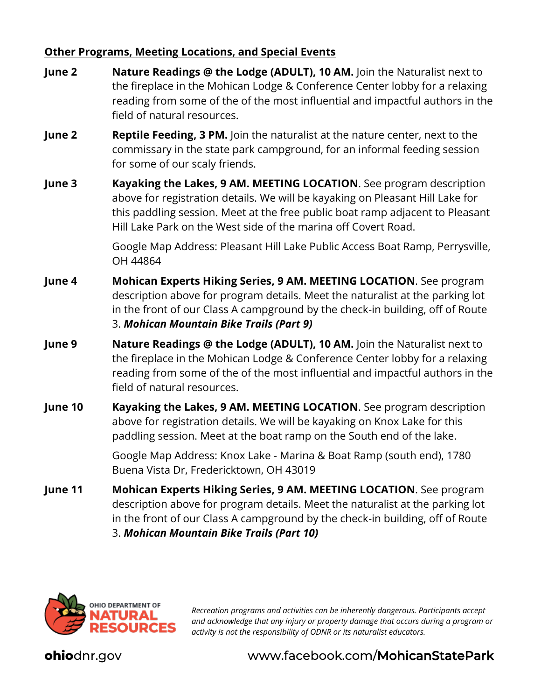#### **Other Programs, Meeting Locations, and Special Events**

- **June 2 Nature Readings @ the Lodge (ADULT), 10 AM.** Join the Naturalist next to the fireplace in the Mohican Lodge & Conference Center lobby for a relaxing reading from some of the of the most influential and impactful authors in the field of natural resources.
- **June 2 Reptile Feeding, 3 PM.** Join the naturalist at the nature center, next to the commissary in the state park campground, for an informal feeding session for some of our scaly friends.
- **June 3 Kayaking the Lakes, 9 AM. MEETING LOCATION**. See program description above for registration details. We will be kayaking on Pleasant Hill Lake for this paddling session. Meet at the free public boat ramp adjacent to Pleasant Hill Lake Park on the West side of the marina off Covert Road.

Google Map Address: Pleasant Hill Lake Public Access Boat Ramp, Perrysville, OH 44864

- **June 4 Mohican Experts Hiking Series, 9 AM. MEETING LOCATION**. See program description above for program details. Meet the naturalist at the parking lot in the front of our Class A campground by the check-in building, off of Route 3. *Mohican Mountain Bike Trails (Part 9)*
- **June 9 Nature Readings @ the Lodge (ADULT), 10 AM.** Join the Naturalist next to the fireplace in the Mohican Lodge & Conference Center lobby for a relaxing reading from some of the of the most influential and impactful authors in the field of natural resources.
- **June 10 Kayaking the Lakes, 9 AM. MEETING LOCATION**. See program description above for registration details. We will be kayaking on Knox Lake for this paddling session. Meet at the boat ramp on the South end of the lake.

Google Map Address: Knox Lake - Marina & Boat Ramp (south end), 1780 Buena Vista Dr, Fredericktown, OH 43019

**June 11 Mohican Experts Hiking Series, 9 AM. MEETING LOCATION**. See program description above for program details. Meet the naturalist at the parking lot in the front of our Class A campground by the check-in building, off of Route 3. *Mohican Mountain Bike Trails (Part 10)*



*Recreation programs and activities can be inherently dangerous. Participants accept and acknowledge that any injury or property damage that occurs during a program or activity is not the responsibility of ODNR or its naturalist educators.*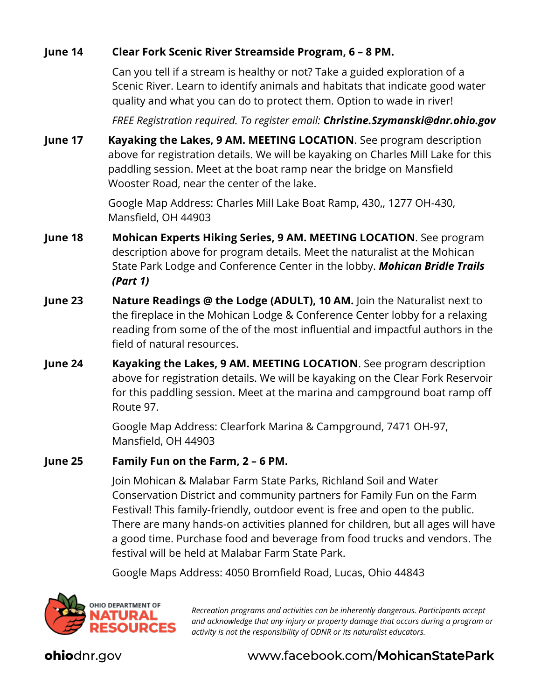#### **June 14 Clear Fork Scenic River Streamside Program, 6 – 8 PM.**

Can you tell if a stream is healthy or not? Take a guided exploration of a Scenic River. Learn to identify animals and habitats that indicate good water quality and what you can do to protect them. Option to wade in river!

*FREE Registration required. To register email: Christine.Szymanski@dnr.ohio.gov*

**June 17 Kayaking the Lakes, 9 AM. MEETING LOCATION**. See program description above for registration details. We will be kayaking on Charles Mill Lake for this paddling session. Meet at the boat ramp near the bridge on Mansfield Wooster Road, near the center of the lake.

> Google Map Address: Charles Mill Lake Boat Ramp, 430,, 1277 OH-430, Mansfield, OH 44903

- **June 18 Mohican Experts Hiking Series, 9 AM. MEETING LOCATION**. See program description above for program details. Meet the naturalist at the Mohican State Park Lodge and Conference Center in the lobby. *Mohican Bridle Trails (Part 1)*
- **June 23 Nature Readings @ the Lodge (ADULT), 10 AM.** Join the Naturalist next to the fireplace in the Mohican Lodge & Conference Center lobby for a relaxing reading from some of the of the most influential and impactful authors in the field of natural resources.
- **June 24 Kayaking the Lakes, 9 AM. MEETING LOCATION**. See program description above for registration details. We will be kayaking on the Clear Fork Reservoir for this paddling session. Meet at the marina and campground boat ramp off Route 97.

Google Map Address: Clearfork Marina & Campground, 7471 OH-97, Mansfield, OH 44903

#### **June 25 Family Fun on the Farm, 2 – 6 PM.**

Join Mohican & Malabar Farm State Parks, Richland Soil and Water Conservation District and community partners for Family Fun on the Farm Festival! This family-friendly, outdoor event is free and open to the public. There are many hands-on activities planned for children, but all ages will have a good time. Purchase food and beverage from food trucks and vendors. The festival will be held at Malabar Farm State Park.

Google Maps Address: 4050 Bromfield Road, Lucas, Ohio 44843



*Recreation programs and activities can be inherently dangerous. Participants accept and acknowledge that any injury or property damage that occurs during a program or activity is not the responsibility of ODNR or its naturalist educators.*